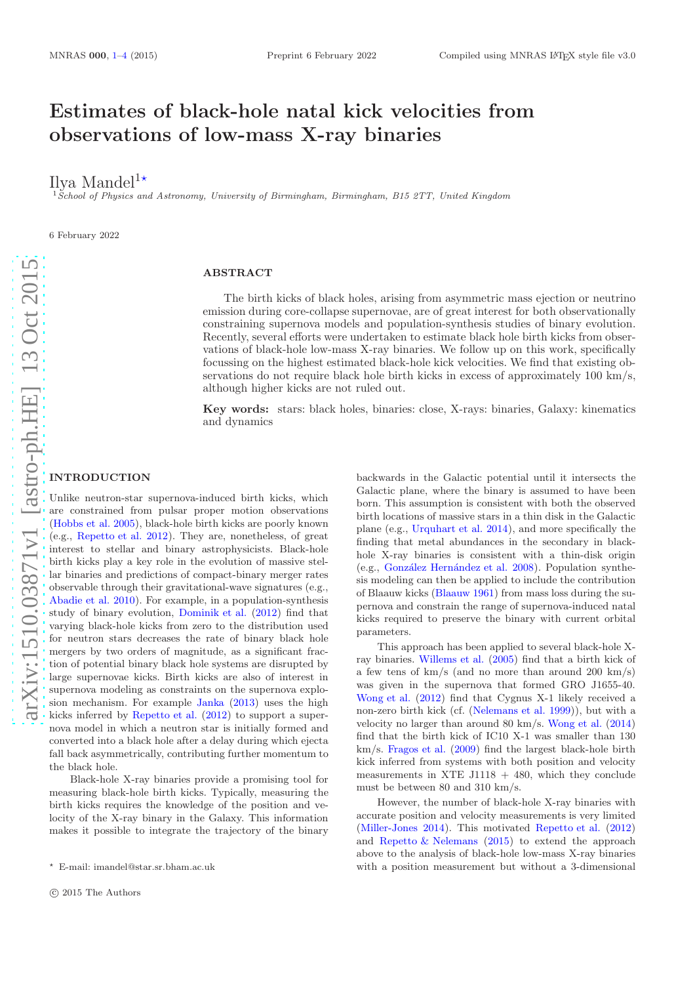# Estimates of black-hole natal kick velocities from observations of low-mass X-ray binaries

Ilya Mandel<sup>1</sup>\*

 $1\text{ }S$ chool of Physics and Astronomy, University of Birmingham, Birmingham, B15 2TT, United Kingdom

6 February 2022

# ABSTRACT

The birth kicks of black holes, arising from asymmetric mass ejection or neutrino emission during core-collapse supernovae, are of great interest for both observationally constraining supernova models and population-synthesis studies of binary evolution. Recently, several efforts were undertaken to estimate black hole birth kicks from observations of black-hole low-mass X-ray binaries. We follow up on this work, specifically focussing on the highest estimated black-hole kick velocities. We find that existing observations do not require black hole birth kicks in excess of approximately 100 km/s, although higher kicks are not ruled out.

Key words: stars: black holes, binaries: close, X-rays: binaries, Galaxy: kinematics and dynamics

# arXiv:1510.03871v1 [astro-ph.HE] 13 Oct 2015 [arXiv:1510.03871v1 \[astro-ph.HE\] 13 Oct 2015](http://arxiv.org/abs/1510.03871v1)

# <span id="page-0-0"></span>**INTRODUCTION**

Unlike neutron-star supernova-induced birth kicks, which are constrained from pulsar proper motion observations [\(Hobbs et al. 2005](#page-3-0)), black-hole birth kicks are poorly known (e.g., [Repetto et al. 2012](#page-3-1)). They are, nonetheless, of great interest to stellar and binary astrophysicists. Black-hole birth kicks play a key role in the evolution of massive stellar binaries and predictions of compact-binary merger rates observable through their gravitational-wave signatures (e.g., [Abadie et al. 2010](#page-3-2)). For example, in a population-synthesis study of binary evolution, [Dominik et al.](#page-3-3) [\(2012](#page-3-3)) find that varying black-hole kicks from zero to the distribution used for neutron stars decreases the rate of binary black hole mergers by two orders of magnitude, as a significant fraction of potential binary black hole systems are disrupted by large supernovae kicks. Birth kicks are also of interest in supernova modeling as constraints on the supernova explosion mechanism. For example [Janka](#page-3-4) [\(2013](#page-3-4)) uses the high kicks inferred by [Repetto et al.](#page-3-1) [\(2012](#page-3-1)) to support a supernova model in which a neutron star is initially formed and converted into a black hole after a delay during which ejecta fall back asymmetrically, contributing further momentum to the black hole.

Black-hole X-ray binaries provide a promising tool for measuring black-hole birth kicks. Typically, measuring the birth kicks requires the knowledge of the position and velocity of the X-ray binary in the Galaxy. This information makes it possible to integrate the trajectory of the binary

backwards in the Galactic potential until it intersects the Galactic plane, where the binary is assumed to have been born. This assumption is consistent with both the observed birth locations of massive stars in a thin disk in the Galactic plane (e.g., [Urquhart et al. 2014](#page-3-5)), and more specifically the finding that metal abundances in the secondary in blackhole X-ray binaries is consistent with a thin-disk origin (e.g., González Hernández et al. 2008). Population synthesis modeling can then be applied to include the contribution of Blaauw kicks [\(Blaauw 1961](#page-3-7)) from mass loss during the supernova and constrain the range of supernova-induced natal kicks required to preserve the binary with current orbital parameters.

This approach has been applied to several black-hole Xray binaries. [Willems et al.](#page-3-8) [\(2005](#page-3-8)) find that a birth kick of a few tens of  $km/s$  (and no more than around 200 km/s) was given in the supernova that formed GRO J1655-40. [Wong et al.](#page-3-9) [\(2012\)](#page-3-9) find that Cygnus X-1 likely received a non-zero birth kick (cf. [\(Nelemans et al. 1999\)](#page-3-10)), but with a velocity no larger than around 80 km/s. [Wong et al.](#page-3-11) [\(2014](#page-3-11)) find that the birth kick of IC10 X-1 was smaller than 130 km/s. [Fragos et al.](#page-3-12) [\(2009](#page-3-12)) find the largest black-hole birth kick inferred from systems with both position and velocity measurements in XTE J1118  $+$  480, which they conclude must be between 80 and 310 km/s.

However, the number of black-hole X-ray binaries with accurate position and velocity measurements is very limited [\(Miller-Jones 2014\)](#page-3-13). This motivated [Repetto et al.](#page-3-1) [\(2012](#page-3-1)) and Repetto  $\&$  Nelemans [\(2015](#page-3-14)) to extend the approach above to the analysis of black-hole low-mass X-ray binaries with a position measurement but without a 3-dimensional

 $\star$  E-mail: imandel@star.sr.bham.ac.uk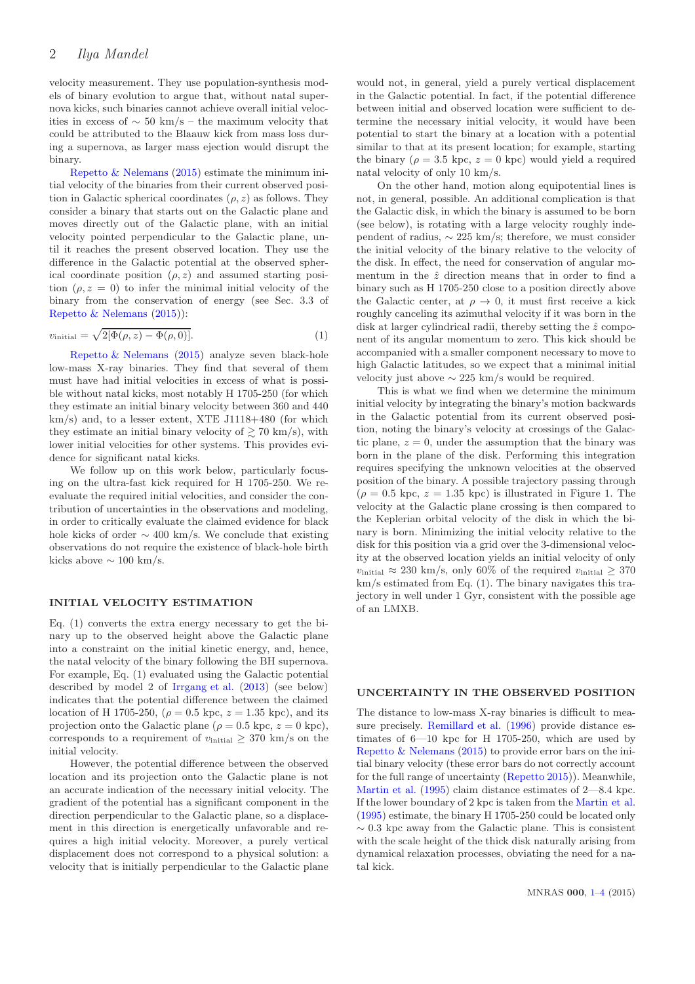velocity measurement. They use population-synthesis models of binary evolution to argue that, without natal supernova kicks, such binaries cannot achieve overall initial velocities in excess of  $\sim$  50 km/s – the maximum velocity that could be attributed to the Blaauw kick from mass loss during a supernova, as larger mass ejection would disrupt the binary.

[Repetto & Nelemans](#page-3-14) [\(2015\)](#page-3-14) estimate the minimum initial velocity of the binaries from their current observed position in Galactic spherical coordinates  $(\rho, z)$  as follows. They consider a binary that starts out on the Galactic plane and moves directly out of the Galactic plane, with an initial velocity pointed perpendicular to the Galactic plane, until it reaches the present observed location. They use the difference in the Galactic potential at the observed spherical coordinate position  $(\rho, z)$  and assumed starting position  $(\rho, z = 0)$  to infer the minimal initial velocity of the binary from the conservation of energy (see Sec. 3.3 of [Repetto & Nelemans](#page-3-14) [\(2015](#page-3-14))):

$$
v_{\text{initial}} = \sqrt{2[\Phi(\rho, z) - \Phi(\rho, 0)]}.\tag{1}
$$

[Repetto & Nelemans](#page-3-14) [\(2015](#page-3-14)) analyze seven black-hole low-mass X-ray binaries. They find that several of them must have had initial velocities in excess of what is possible without natal kicks, most notably H 1705-250 (for which they estimate an initial binary velocity between 360 and 440  $km/s$ ) and, to a lesser extent, XTE J1118+480 (for which they estimate an initial binary velocity of  $\geq 70$  km/s), with lower initial velocities for other systems. This provides evidence for significant natal kicks.

We follow up on this work below, particularly focusing on the ultra-fast kick required for H 1705-250. We reevaluate the required initial velocities, and consider the contribution of uncertainties in the observations and modeling, in order to critically evaluate the claimed evidence for black hole kicks of order  $\sim$  400 km/s. We conclude that existing observations do not require the existence of black-hole birth kicks above  $\sim 100 \text{ km/s}.$ 

### INITIAL VELOCITY ESTIMATION

Eq. (1) converts the extra energy necessary to get the binary up to the observed height above the Galactic plane into a constraint on the initial kinetic energy, and, hence, the natal velocity of the binary following the BH supernova. For example, Eq. (1) evaluated using the Galactic potential described by model 2 of [Irrgang et al.](#page-3-15) [\(2013\)](#page-3-15) (see below) indicates that the potential difference between the claimed location of H 1705-250, ( $\rho = 0.5$  kpc,  $z = 1.35$  kpc), and its projection onto the Galactic plane ( $\rho = 0.5$  kpc,  $z = 0$  kpc), corresponds to a requirement of  $v_{initial} \geq 370$  km/s on the initial velocity.

However, the potential difference between the observed location and its projection onto the Galactic plane is not an accurate indication of the necessary initial velocity. The gradient of the potential has a significant component in the direction perpendicular to the Galactic plane, so a displacement in this direction is energetically unfavorable and requires a high initial velocity. Moreover, a purely vertical displacement does not correspond to a physical solution: a velocity that is initially perpendicular to the Galactic plane would not, in general, yield a purely vertical displacement in the Galactic potential. In fact, if the potential difference between initial and observed location were sufficient to determine the necessary initial velocity, it would have been potential to start the binary at a location with a potential similar to that at its present location; for example, starting the binary ( $\rho = 3.5$  kpc,  $z = 0$  kpc) would yield a required natal velocity of only 10 km/s.

On the other hand, motion along equipotential lines is not, in general, possible. An additional complication is that the Galactic disk, in which the binary is assumed to be born (see below), is rotating with a large velocity roughly independent of radius,  $\sim 225$  km/s; therefore, we must consider the initial velocity of the binary relative to the velocity of the disk. In effect, the need for conservation of angular momentum in the  $\hat{z}$  direction means that in order to find a binary such as H 1705-250 close to a position directly above the Galactic center, at  $\rho \to 0$ , it must first receive a kick roughly canceling its azimuthal velocity if it was born in the disk at larger cylindrical radii, thereby setting the  $\hat{z}$  component of its angular momentum to zero. This kick should be accompanied with a smaller component necessary to move to high Galactic latitudes, so we expect that a minimal initial velocity just above  $\sim 225$  km/s would be required.

This is what we find when we determine the minimum initial velocity by integrating the binary's motion backwards in the Galactic potential from its current observed position, noting the binary's velocity at crossings of the Galactic plane,  $z = 0$ , under the assumption that the binary was born in the plane of the disk. Performing this integration requires specifying the unknown velocities at the observed position of the binary. A possible trajectory passing through  $(\rho = 0.5 \text{ kpc}, z = 1.35 \text{ kpc})$  is illustrated in Figure 1. The velocity at the Galactic plane crossing is then compared to the Keplerian orbital velocity of the disk in which the binary is born. Minimizing the initial velocity relative to the disk for this position via a grid over the 3-dimensional velocity at the observed location yields an initial velocity of only  $v_{\text{initial}} \approx 230 \text{ km/s}$ , only 60% of the required  $v_{\text{initial}} > 370$ km/s estimated from Eq. (1). The binary navigates this trajectory in well under 1 Gyr, consistent with the possible age of an LMXB.

### UNCERTAINTY IN THE OBSERVED POSITION

The distance to low-mass X-ray binaries is difficult to measure precisely. [Remillard et al.](#page-3-16) [\(1996](#page-3-16)) provide distance estimates of  $6-10$  kpc for H 1705-250, which are used by [Repetto & Nelemans](#page-3-14) [\(2015\)](#page-3-14) to provide error bars on the initial binary velocity (these error bars do not correctly account for the full range of uncertainty [\(Repetto 2015\)](#page-3-17)). Meanwhile, [Martin et al.](#page-3-18) [\(1995](#page-3-18)) claim distance estimates of 2—8.4 kpc. If the lower boundary of 2 kpc is taken from the [Martin et al.](#page-3-18) [\(1995](#page-3-18)) estimate, the binary H 1705-250 could be located only  $\sim 0.3$  kpc away from the Galactic plane. This is consistent with the scale height of the thick disk naturally arising from dynamical relaxation processes, obviating the need for a natal kick.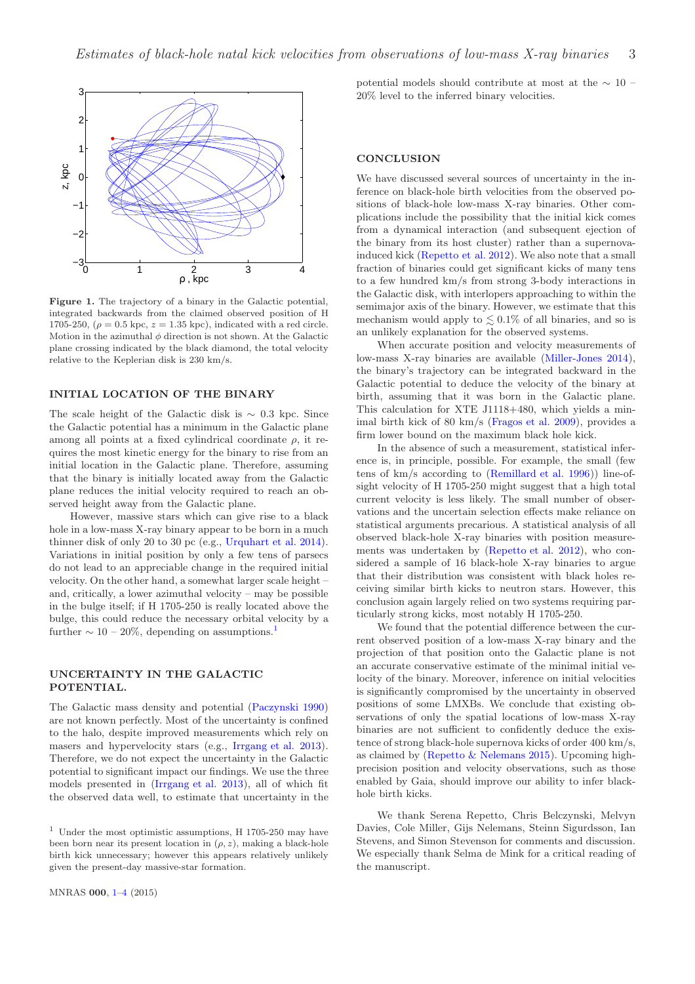

<span id="page-2-0"></span>Figure 1. The trajectory of a binary in the Galactic potential, integrated backwards from the claimed observed position of H 1705-250,  $(\rho = 0.5 \text{ kpc}, z = 1.35 \text{ kpc})$ , indicated with a red circle. Motion in the azimuthal  $\phi$  direction is not shown. At the Galactic plane crossing indicated by the black diamond, the total velocity relative to the Keplerian disk is 230 km/s.

# INITIAL LOCATION OF THE BINARY

The scale height of the Galactic disk is  $\sim 0.3$  kpc. Since the Galactic potential has a minimum in the Galactic plane among all points at a fixed cylindrical coordinate  $\rho$ , it requires the most kinetic energy for the binary to rise from an initial location in the Galactic plane. Therefore, assuming that the binary is initially located away from the Galactic plane reduces the initial velocity required to reach an observed height away from the Galactic plane.

However, massive stars which can give rise to a black hole in a low-mass X-ray binary appear to be born in a much thinner disk of only 20 to 30 pc (e.g., [Urquhart et al. 2014](#page-3-5)). Variations in initial position by only a few tens of parsecs do not lead to an appreciable change in the required initial velocity. On the other hand, a somewhat larger scale height – and, critically, a lower azimuthal velocity – may be possible in the bulge itself; if H 1705-250 is really located above the bulge, this could reduce the necessary orbital velocity by a further  $\sim 10 - 20\%$  $\sim 10 - 20\%$  $\sim 10 - 20\%$ , depending on assumptions.<sup>1</sup>

# UNCERTAINTY IN THE GALACTIC POTENTIAL.

The Galactic mass density and potential [\(Paczynski 1990](#page-3-19)) are not known perfectly. Most of the uncertainty is confined to the halo, despite improved measurements which rely on masers and hypervelocity stars (e.g., [Irrgang et al. 2013](#page-3-15)). Therefore, we do not expect the uncertainty in the Galactic potential to significant impact our findings. We use the three models presented in [\(Irrgang et al. 2013](#page-3-15)), all of which fit the observed data well, to estimate that uncertainty in the potential models should contribute at most at the  $\sim$  10 – 20% level to the inferred binary velocities.

## **CONCLUSION**

We have discussed several sources of uncertainty in the inference on black-hole birth velocities from the observed positions of black-hole low-mass X-ray binaries. Other complications include the possibility that the initial kick comes from a dynamical interaction (and subsequent ejection of the binary from its host cluster) rather than a supernovainduced kick [\(Repetto et al. 2012\)](#page-3-1). We also note that a small fraction of binaries could get significant kicks of many tens to a few hundred km/s from strong 3-body interactions in the Galactic disk, with interlopers approaching to within the semimajor axis of the binary. However, we estimate that this mechanism would apply to  $\lesssim 0.1\%$  of all binaries, and so is an unlikely explanation for the observed systems.

When accurate position and velocity measurements of low-mass X-ray binaries are available [\(Miller-Jones 2014](#page-3-13)), the binary's trajectory can be integrated backward in the Galactic potential to deduce the velocity of the binary at birth, assuming that it was born in the Galactic plane. This calculation for XTE J1118+480, which yields a minimal birth kick of 80 km/s [\(Fragos et al. 2009\)](#page-3-12), provides a firm lower bound on the maximum black hole kick.

In the absence of such a measurement, statistical inference is, in principle, possible. For example, the small (few tens of km/s according to [\(Remillard et al. 1996](#page-3-16))) line-ofsight velocity of H 1705-250 might suggest that a high total current velocity is less likely. The small number of observations and the uncertain selection effects make reliance on statistical arguments precarious. A statistical analysis of all observed black-hole X-ray binaries with position measurements was undertaken by [\(Repetto et al. 2012](#page-3-1)), who considered a sample of 16 black-hole X-ray binaries to argue that their distribution was consistent with black holes receiving similar birth kicks to neutron stars. However, this conclusion again largely relied on two systems requiring particularly strong kicks, most notably H 1705-250.

We found that the potential difference between the current observed position of a low-mass X-ray binary and the projection of that position onto the Galactic plane is not an accurate conservative estimate of the minimal initial velocity of the binary. Moreover, inference on initial velocities is significantly compromised by the uncertainty in observed positions of some LMXBs. We conclude that existing observations of only the spatial locations of low-mass X-ray binaries are not sufficient to confidently deduce the existence of strong black-hole supernova kicks of order 400 km/s, as claimed by [\(Repetto & Nelemans 2015](#page-3-14)). Upcoming highprecision position and velocity observations, such as those enabled by Gaia, should improve our ability to infer blackhole birth kicks.

We thank Serena Repetto, Chris Belczynski, Melvyn Davies, Cole Miller, Gijs Nelemans, Steinn Sigurdsson, Ian Stevens, and Simon Stevenson for comments and discussion. We especially thank Selma de Mink for a critical reading of the manuscript.

<span id="page-2-1"></span> $^{\rm 1}$  Under the most optimistic assumptions, H 1705-250 may have been born near its present location in  $(\rho, z)$ , making a black-hole birth kick unnecessary; however this appears relatively unlikely given the present-day massive-star formation.